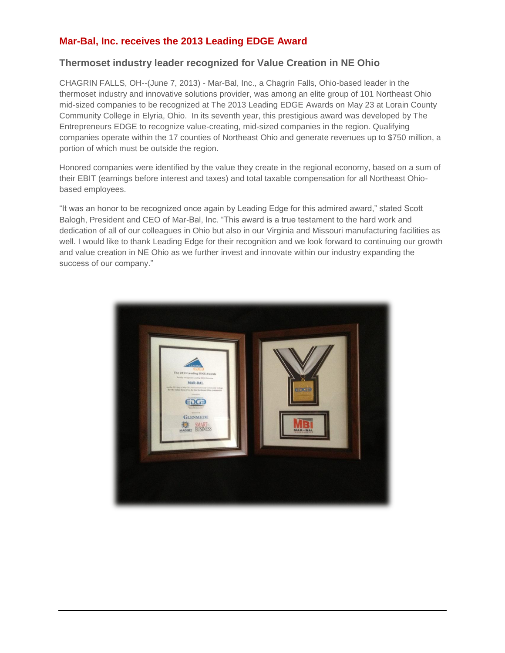## **Mar-Bal, Inc. receives the 2013 Leading EDGE Award**

## **Thermoset industry leader recognized for Value Creation in NE Ohio**

CHAGRIN FALLS, OH--(June 7, 2013) - Mar-Bal, Inc., a Chagrin Falls, Ohio-based leader in the thermoset industry and innovative solutions provider, was among an elite group of 101 Northeast Ohio mid-sized companies to be recognized at The 2013 Leading EDGE Awards on May 23 at Lorain County Community College in Elyria, Ohio. In its seventh year, this prestigious award was developed by The Entrepreneurs EDGE to recognize value-creating, mid-sized companies in the region. Qualifying companies operate within the 17 counties of Northeast Ohio and generate revenues up to \$750 million, a portion of which must be outside the region.

Honored companies were identified by the value they create in the regional economy, based on a sum of their EBIT (earnings before interest and taxes) and total taxable compensation for all Northeast Ohiobased employees.

"It was an honor to be recognized once again by Leading Edge for this admired award," stated Scott Balogh, President and CEO of Mar-Bal, Inc. "This award is a true testament to the hard work and dedication of all of our colleagues in Ohio but also in our Virginia and Missouri manufacturing facilities as well. I would like to thank Leading Edge for their recognition and we look forward to continuing our growth and value creation in NE Ohio as we further invest and innovate within our industry expanding the success of our company."